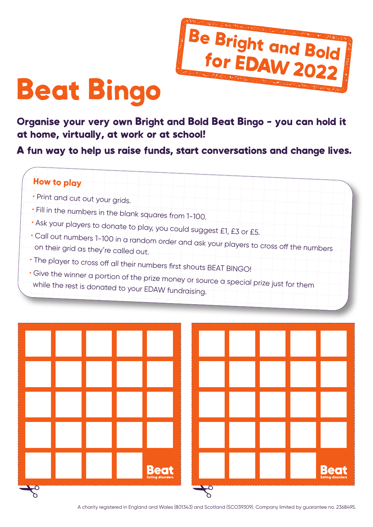

## Beat Bingo

Organise your very own Bright and Bold Beat Bingo - you can hold it at home, virtually, at work or at school!

A fun way to help us raise funds, start conversations and change lives.





A charity registered in England and Wales (801343) and Scotland (SCO39309). Company limited by guarantee no. 2368495.